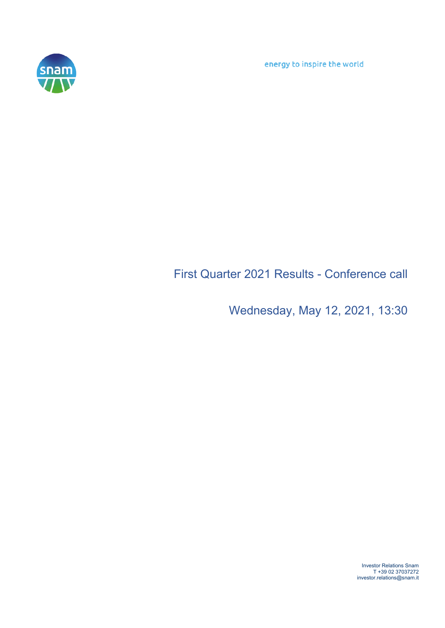energy to inspire the world



## First Quarter 2021 Results - Conference call

Wednesday, May 12, 2021, 13:30

Investor Relations Snam T +39 02 37037272 investor.relations@snam.it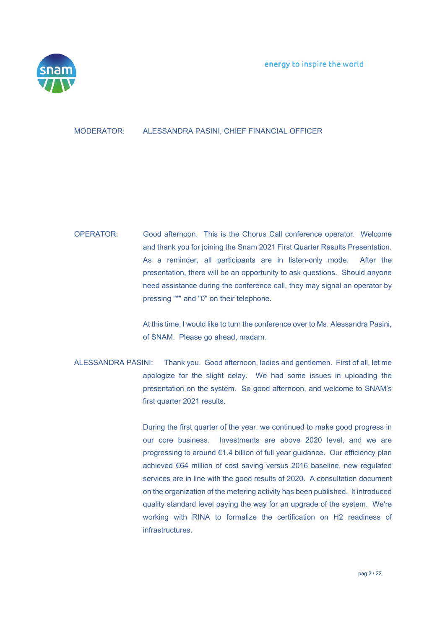

## MODERATOR: ALESSANDRA PASINI, CHIEF FINANCIAL OFFICER

## OPERATOR: Good afternoon. This is the Chorus Call conference operator. Welcome and thank you for joining the Snam 2021 First Quarter Results Presentation. As a reminder, all participants are in listen-only mode. After the presentation, there will be an opportunity to ask questions. Should anyone need assistance during the conference call, they may signal an operator by pressing "\*" and "0" on their telephone.

 At this time, I would like to turn the conference over to Ms. Alessandra Pasini, of SNAM. Please go ahead, madam.

ALESSANDRA PASINI: Thank you. Good afternoon, ladies and gentlemen. First of all, let me apologize for the slight delay. We had some issues in uploading the presentation on the system. So good afternoon, and welcome to SNAM's first quarter 2021 results.

> During the first quarter of the year, we continued to make good progress in our core business. Investments are above 2020 level, and we are progressing to around €1.4 billion of full year guidance. Our efficiency plan achieved €64 million of cost saving versus 2016 baseline, new regulated services are in line with the good results of 2020. A consultation document on the organization of the metering activity has been published. It introduced quality standard level paying the way for an upgrade of the system. We're working with RINA to formalize the certification on H2 readiness of infrastructures.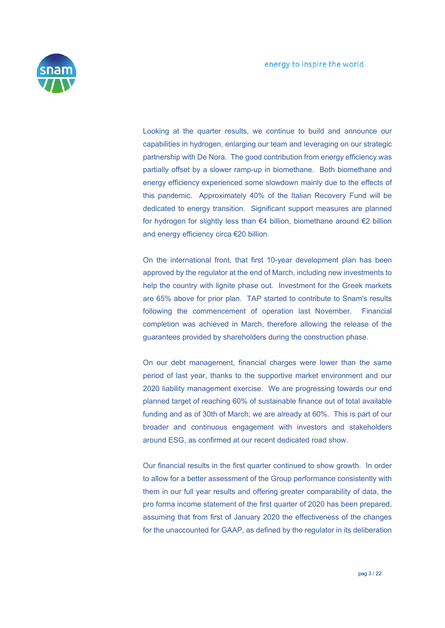

 Looking at the quarter results, we continue to build and announce our capabilities in hydrogen, enlarging our team and leveraging on our strategic partnership with De Nora. The good contribution from energy efficiency was partially offset by a slower ramp-up in biomethane. Both biomethane and energy efficiency experienced some slowdown mainly due to the effects of this pandemic. Approximately 40% of the Italian Recovery Fund will be dedicated to energy transition. Significant support measures are planned for hydrogen for slightly less than €4 billion, biomethane around €2 billion and energy efficiency circa €20 billion.

 On the international front, that first 10-year development plan has been approved by the regulator at the end of March, including new investments to help the country with lignite phase out. Investment for the Greek markets are 65% above for prior plan. TAP started to contribute to Snam's results following the commencement of operation last November. Financial completion was achieved in March, therefore allowing the release of the guarantees provided by shareholders during the construction phase.

 On our debt management, financial charges were lower than the same period of last year, thanks to the supportive market environment and our 2020 liability management exercise. We are progressing towards our end planned target of reaching 60% of sustainable finance out of total available funding and as of 30th of March; we are already at 60%. This is part of our broader and continuous engagement with investors and stakeholders around ESG, as confirmed at our recent dedicated road show.

 Our financial results in the first quarter continued to show growth. In order to allow for a better assessment of the Group performance consistently with them in our full year results and offering greater comparability of data, the pro forma income statement of the first quarter of 2020 has been prepared, assuming that from first of January 2020 the effectiveness of the changes for the unaccounted for GAAP, as defined by the regulator in its deliberation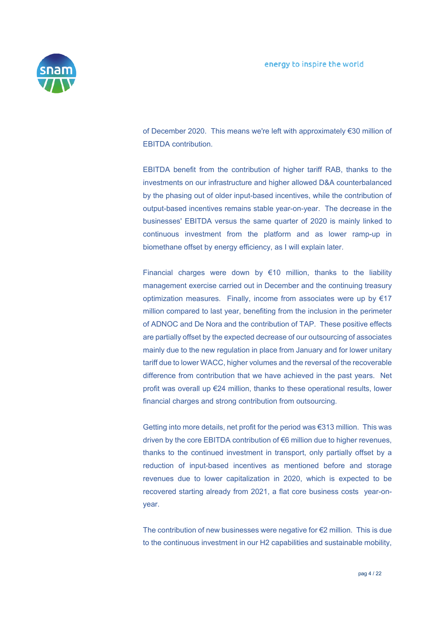

of December 2020. This means we're left with approximately €30 million of EBITDA contribution.

 EBITDA benefit from the contribution of higher tariff RAB, thanks to the investments on our infrastructure and higher allowed D&A counterbalanced by the phasing out of older input-based incentives, while the contribution of output-based incentives remains stable year-on-year. The decrease in the businesses' EBITDA versus the same quarter of 2020 is mainly linked to continuous investment from the platform and as lower ramp-up in biomethane offset by energy efficiency, as I will explain later.

Financial charges were down by  $€10$  million, thanks to the liability management exercise carried out in December and the continuing treasury optimization measures. Finally, income from associates were up by €17 million compared to last year, benefiting from the inclusion in the perimeter of ADNOC and De Nora and the contribution of TAP. These positive effects are partially offset by the expected decrease of our outsourcing of associates mainly due to the new regulation in place from January and for lower unitary tariff due to lower WACC, higher volumes and the reversal of the recoverable difference from contribution that we have achieved in the past years. Net profit was overall up €24 million, thanks to these operational results, lower financial charges and strong contribution from outsourcing.

 Getting into more details, net profit for the period was €313 million. This was driven by the core EBITDA contribution of €6 million due to higher revenues, thanks to the continued investment in transport, only partially offset by a reduction of input-based incentives as mentioned before and storage revenues due to lower capitalization in 2020, which is expected to be recovered starting already from 2021, a flat core business costs year-onyear.

 The contribution of new businesses were negative for €2 million. This is due to the continuous investment in our H2 capabilities and sustainable mobility,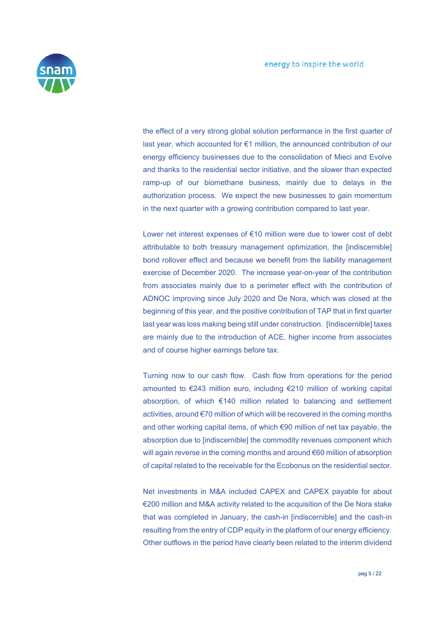

the effect of a very strong global solution performance in the first quarter of last year, which accounted for €1 million, the announced contribution of our energy efficiency businesses due to the consolidation of Mieci and Evolve and thanks to the residential sector initiative, and the slower than expected ramp-up of our biomethane business, mainly due to delays in the authorization process. We expect the new businesses to gain momentum in the next quarter with a growing contribution compared to last year.

 Lower net interest expenses of €10 million were due to lower cost of debt attributable to both treasury management optimization, the [indiscernible] bond rollover effect and because we benefit from the liability management exercise of December 2020. The increase year-on-year of the contribution from associates mainly due to a perimeter effect with the contribution of ADNOC improving since July 2020 and De Nora, which was closed at the beginning of this year, and the positive contribution of TAP that in first quarter last year was loss making being still under construction. [Indiscernible] taxes are mainly due to the introduction of ACE, higher income from associates and of course higher earnings before tax.

 Turning now to our cash flow. Cash flow from operations for the period amounted to €243 million euro, including €210 million of working capital absorption, of which €140 million related to balancing and settlement activities, around €70 million of which will be recovered in the coming months and other working capital items, of which €90 million of net tax payable, the absorption due to [indiscernible] the commodity revenues component which will again reverse in the coming months and around €60 million of absorption of capital related to the receivable for the Ecobonus on the residential sector.

 Net investments in M&A included CAPEX and CAPEX payable for about €200 million and M&A activity related to the acquisition of the De Nora stake that was completed in January, the cash-in [indiscernible] and the cash-in resulting from the entry of CDP equity in the platform of our energy efficiency. Other outflows in the period have clearly been related to the interim dividend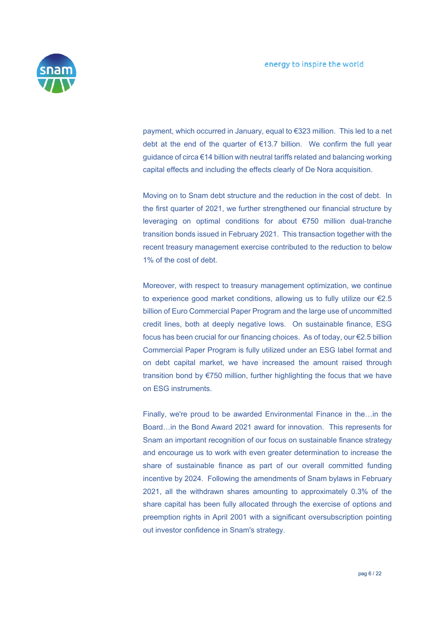

payment, which occurred in January, equal to €323 million. This led to a net debt at the end of the quarter of €13.7 billion. We confirm the full year guidance of circa €14 billion with neutral tariffs related and balancing working capital effects and including the effects clearly of De Nora acquisition.

 Moving on to Snam debt structure and the reduction in the cost of debt. In the first quarter of 2021, we further strengthened our financial structure by leveraging on optimal conditions for about €750 million dual-tranche transition bonds issued in February 2021. This transaction together with the recent treasury management exercise contributed to the reduction to below 1% of the cost of debt.

 Moreover, with respect to treasury management optimization, we continue to experience good market conditions, allowing us to fully utilize our €2.5 billion of Euro Commercial Paper Program and the large use of uncommitted credit lines, both at deeply negative lows. On sustainable finance, ESG focus has been crucial for our financing choices. As of today, our €2.5 billion Commercial Paper Program is fully utilized under an ESG label format and on debt capital market, we have increased the amount raised through transition bond by €750 million, further highlighting the focus that we have on ESG instruments.

 Finally, we're proud to be awarded Environmental Finance in the…in the Board…in the Bond Award 2021 award for innovation. This represents for Snam an important recognition of our focus on sustainable finance strategy and encourage us to work with even greater determination to increase the share of sustainable finance as part of our overall committed funding incentive by 2024. Following the amendments of Snam bylaws in February 2021, all the withdrawn shares amounting to approximately 0.3% of the share capital has been fully allocated through the exercise of options and preemption rights in April 2001 with a significant oversubscription pointing out investor confidence in Snam's strategy.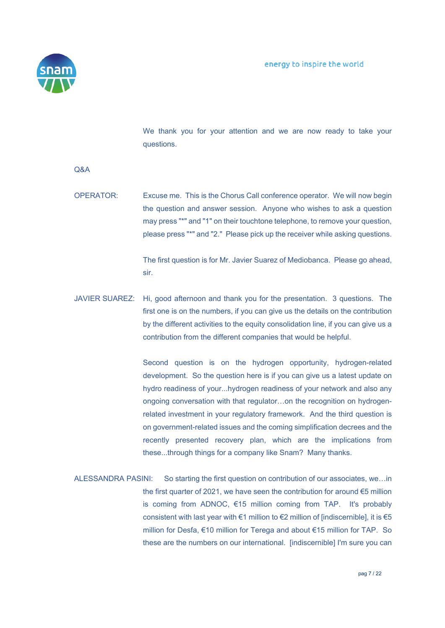

 We thank you for your attention and we are now ready to take your questions.

Q&A

OPERATOR: Excuse me. This is the Chorus Call conference operator. We will now begin the question and answer session. Anyone who wishes to ask a question may press "\*" and "1" on their touchtone telephone, to remove your question, please press "\*" and "2." Please pick up the receiver while asking questions.

> The first question is for Mr. Javier Suarez of Mediobanca. Please go ahead, sir.

JAVIER SUAREZ: Hi, good afternoon and thank you for the presentation. 3 questions. The first one is on the numbers, if you can give us the details on the contribution by the different activities to the equity consolidation line, if you can give us a contribution from the different companies that would be helpful.

> Second question is on the hydrogen opportunity, hydrogen-related development. So the question here is if you can give us a latest update on hydro readiness of your...hydrogen readiness of your network and also any ongoing conversation with that regulator…on the recognition on hydrogenrelated investment in your regulatory framework. And the third question is on government-related issues and the coming simplification decrees and the recently presented recovery plan, which are the implications from these...through things for a company like Snam? Many thanks.

ALESSANDRA PASINI: So starting the first question on contribution of our associates, we…in the first quarter of 2021, we have seen the contribution for around  $\epsilon$ 5 million is coming from ADNOC, €15 million coming from TAP. It's probably consistent with last year with  $\epsilon$ 1 million to  $\epsilon$ 2 million of [indiscernible], it is  $\epsilon$ 5 million for Desfa, €10 million for Terega and about €15 million for TAP. So these are the numbers on our international. [indiscernible] I'm sure you can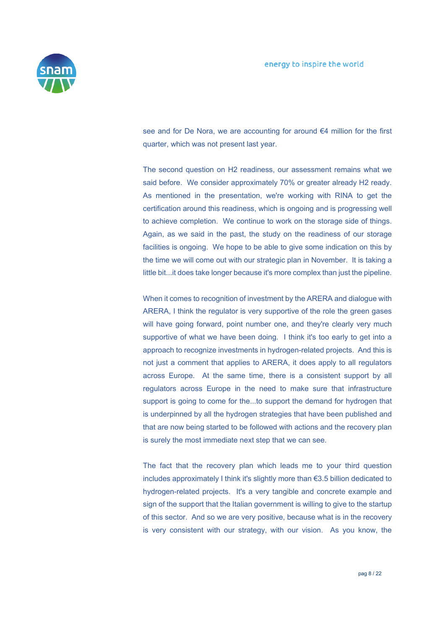

see and for De Nora, we are accounting for around €4 million for the first quarter, which was not present last year.

 The second question on H2 readiness, our assessment remains what we said before. We consider approximately 70% or greater already H2 ready. As mentioned in the presentation, we're working with RINA to get the certification around this readiness, which is ongoing and is progressing well to achieve completion. We continue to work on the storage side of things. Again, as we said in the past, the study on the readiness of our storage facilities is ongoing. We hope to be able to give some indication on this by the time we will come out with our strategic plan in November. It is taking a little bit...it does take longer because it's more complex than just the pipeline.

When it comes to recognition of investment by the ARERA and dialogue with ARERA, I think the regulator is very supportive of the role the green gases will have going forward, point number one, and they're clearly very much supportive of what we have been doing. I think it's too early to get into a approach to recognize investments in hydrogen-related projects. And this is not just a comment that applies to ARERA, it does apply to all regulators across Europe. At the same time, there is a consistent support by all regulators across Europe in the need to make sure that infrastructure support is going to come for the...to support the demand for hydrogen that is underpinned by all the hydrogen strategies that have been published and that are now being started to be followed with actions and the recovery plan is surely the most immediate next step that we can see.

 The fact that the recovery plan which leads me to your third question includes approximately I think it's slightly more than €3.5 billion dedicated to hydrogen-related projects. It's a very tangible and concrete example and sign of the support that the Italian government is willing to give to the startup of this sector. And so we are very positive, because what is in the recovery is very consistent with our strategy, with our vision. As you know, the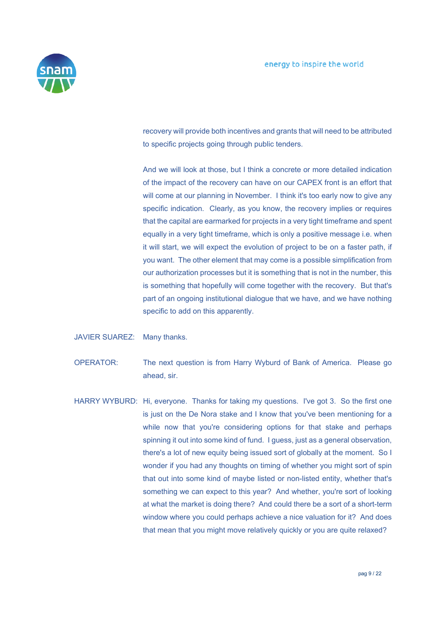

recovery will provide both incentives and grants that will need to be attributed to specific projects going through public tenders.

 And we will look at those, but I think a concrete or more detailed indication of the impact of the recovery can have on our CAPEX front is an effort that will come at our planning in November. I think it's too early now to give any specific indication. Clearly, as you know, the recovery implies or requires that the capital are earmarked for projects in a very tight timeframe and spent equally in a very tight timeframe, which is only a positive message i.e. when it will start, we will expect the evolution of project to be on a faster path, if you want. The other element that may come is a possible simplification from our authorization processes but it is something that is not in the number, this is something that hopefully will come together with the recovery. But that's part of an ongoing institutional dialogue that we have, and we have nothing specific to add on this apparently.

- JAVIER SUAREZ: Many thanks.
- OPERATOR: The next question is from Harry Wyburd of Bank of America. Please go ahead, sir.
- HARRY WYBURD: Hi, everyone. Thanks for taking my questions. I've got 3. So the first one is just on the De Nora stake and I know that you've been mentioning for a while now that you're considering options for that stake and perhaps spinning it out into some kind of fund. I quess, just as a general observation, there's a lot of new equity being issued sort of globally at the moment. So I wonder if you had any thoughts on timing of whether you might sort of spin that out into some kind of maybe listed or non-listed entity, whether that's something we can expect to this year? And whether, you're sort of looking at what the market is doing there? And could there be a sort of a short-term window where you could perhaps achieve a nice valuation for it? And does that mean that you might move relatively quickly or you are quite relaxed?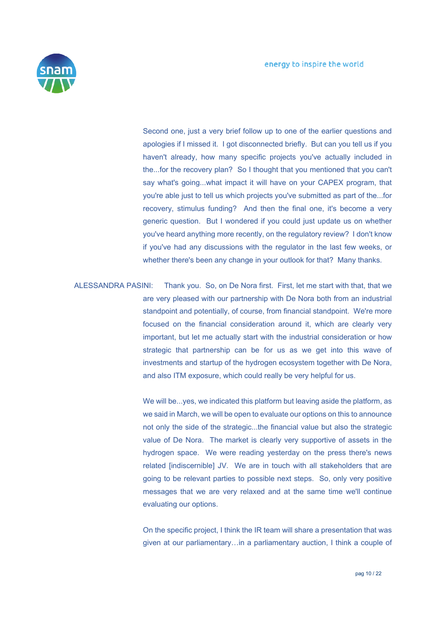

Second one, just a very brief follow up to one of the earlier questions and apologies if I missed it. I got disconnected briefly. But can you tell us if you haven't already, how many specific projects you've actually included in the...for the recovery plan? So I thought that you mentioned that you can't say what's going...what impact it will have on your CAPEX program, that you're able just to tell us which projects you've submitted as part of the...for recovery, stimulus funding? And then the final one, it's become a very generic question. But I wondered if you could just update us on whether you've heard anything more recently, on the regulatory review? I don't know if you've had any discussions with the regulator in the last few weeks, or whether there's been any change in your outlook for that? Many thanks.

ALESSANDRA PASINI: Thank you. So, on De Nora first. First, let me start with that, that we are very pleased with our partnership with De Nora both from an industrial standpoint and potentially, of course, from financial standpoint. We're more focused on the financial consideration around it, which are clearly very important, but let me actually start with the industrial consideration or how strategic that partnership can be for us as we get into this wave of investments and startup of the hydrogen ecosystem together with De Nora, and also ITM exposure, which could really be very helpful for us.

> We will be...yes, we indicated this platform but leaving aside the platform, as we said in March, we will be open to evaluate our options on this to announce not only the side of the strategic...the financial value but also the strategic value of De Nora. The market is clearly very supportive of assets in the hydrogen space. We were reading yesterday on the press there's news related [indiscernible] JV. We are in touch with all stakeholders that are going to be relevant parties to possible next steps. So, only very positive messages that we are very relaxed and at the same time we'll continue evaluating our options.

> On the specific project, I think the IR team will share a presentation that was given at our parliamentary…in a parliamentary auction, I think a couple of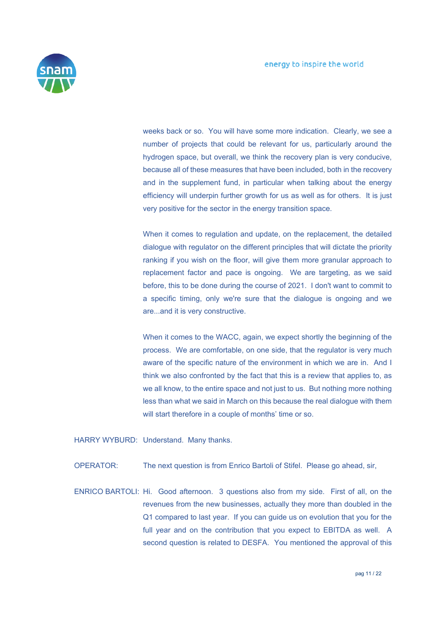

weeks back or so. You will have some more indication. Clearly, we see a number of projects that could be relevant for us, particularly around the hydrogen space, but overall, we think the recovery plan is very conducive, because all of these measures that have been included, both in the recovery and in the supplement fund, in particular when talking about the energy efficiency will underpin further growth for us as well as for others. It is just very positive for the sector in the energy transition space.

 When it comes to regulation and update, on the replacement, the detailed dialogue with regulator on the different principles that will dictate the priority ranking if you wish on the floor, will give them more granular approach to replacement factor and pace is ongoing. We are targeting, as we said before, this to be done during the course of 2021. I don't want to commit to a specific timing, only we're sure that the dialogue is ongoing and we are...and it is very constructive.

 When it comes to the WACC, again, we expect shortly the beginning of the process. We are comfortable, on one side, that the regulator is very much aware of the specific nature of the environment in which we are in. And I think we also confronted by the fact that this is a review that applies to, as we all know, to the entire space and not just to us. But nothing more nothing less than what we said in March on this because the real dialogue with them will start therefore in a couple of months' time or so.

HARRY WYBURD: Understand. Many thanks.

OPERATOR: The next question is from Enrico Bartoli of Stifel. Please go ahead, sir,

ENRICO BARTOLI: Hi. Good afternoon. 3 questions also from my side. First of all, on the revenues from the new businesses, actually they more than doubled in the Q1 compared to last year. If you can guide us on evolution that you for the full year and on the contribution that you expect to EBITDA as well. A second question is related to DESFA. You mentioned the approval of this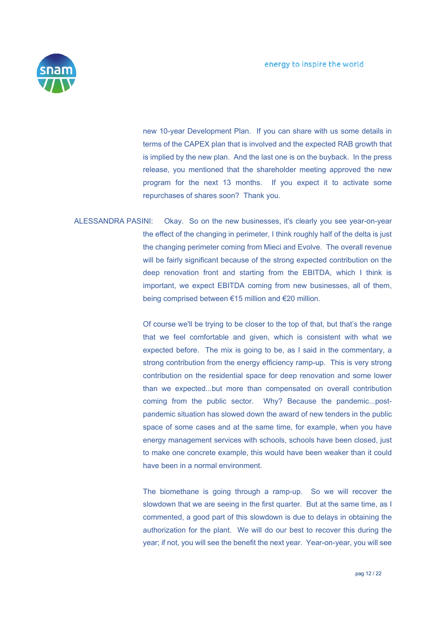

new 10-year Development Plan. If you can share with us some details in terms of the CAPEX plan that is involved and the expected RAB growth that is implied by the new plan. And the last one is on the buyback. In the press release, you mentioned that the shareholder meeting approved the new program for the next 13 months. If you expect it to activate some repurchases of shares soon? Thank you.

ALESSANDRA PASINI: Okay. So on the new businesses, it's clearly you see year-on-year the effect of the changing in perimeter, I think roughly half of the delta is just the changing perimeter coming from Mieci and Evolve. The overall revenue will be fairly significant because of the strong expected contribution on the deep renovation front and starting from the EBITDA, which I think is important, we expect EBITDA coming from new businesses, all of them, being comprised between €15 million and €20 million.

> Of course we'll be trying to be closer to the top of that, but that's the range that we feel comfortable and given, which is consistent with what we expected before. The mix is going to be, as I said in the commentary, a strong contribution from the energy efficiency ramp-up. This is very strong contribution on the residential space for deep renovation and some lower than we expected...but more than compensated on overall contribution coming from the public sector. Why? Because the pandemic...postpandemic situation has slowed down the award of new tenders in the public space of some cases and at the same time, for example, when you have energy management services with schools, schools have been closed, just to make one concrete example, this would have been weaker than it could have been in a normal environment.

> The biomethane is going through a ramp-up. So we will recover the slowdown that we are seeing in the first quarter. But at the same time, as I commented, a good part of this slowdown is due to delays in obtaining the authorization for the plant. We will do our best to recover this during the year; if not, you will see the benefit the next year. Year-on-year, you will see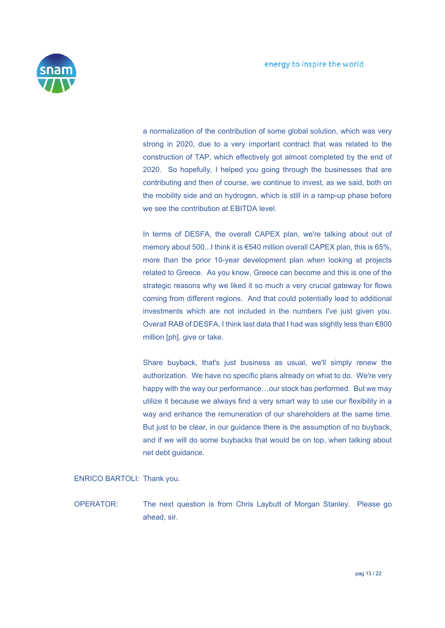

a normalization of the contribution of some global solution, which was very strong in 2020, due to a very important contract that was related to the construction of TAP, which effectively got almost completed by the end of 2020. So hopefully, I helped you going through the businesses that are contributing and then of course, we continue to invest, as we said, both on the mobility side and on hydrogen, which is still in a ramp-up phase before we see the contribution at EBITDA level.

In terms of DESFA, the overall CAPEX plan, we're talking about out of memory about 500...I think it is €540 million overall CAPEX plan, this is 65%, more than the prior 10-year development plan when looking at projects related to Greece. As you know, Greece can become and this is one of the strategic reasons why we liked it so much a very crucial gateway for flows coming from different regions. And that could potentially lead to additional investments which are not included in the numbers I've just given you. Overall RAB of DESFA, I think last data that I had was slightly less than €800 million [ph], give or take.

 Share buyback, that's just business as usual, we'll simply renew the authorization. We have no specific plans already on what to do. We're very happy with the way our performance…our stock has performed. But we may utilize it because we always find a very smart way to use our flexibility in a way and enhance the remuneration of our shareholders at the same time. But just to be clear, in our guidance there is the assumption of no buyback, and if we will do some buybacks that would be on top, when talking about net debt guidance.

ENRICO BARTOLI: Thank you.

OPERATOR: The next question is from Chris Laybutt of Morgan Stanley. Please go ahead, sir.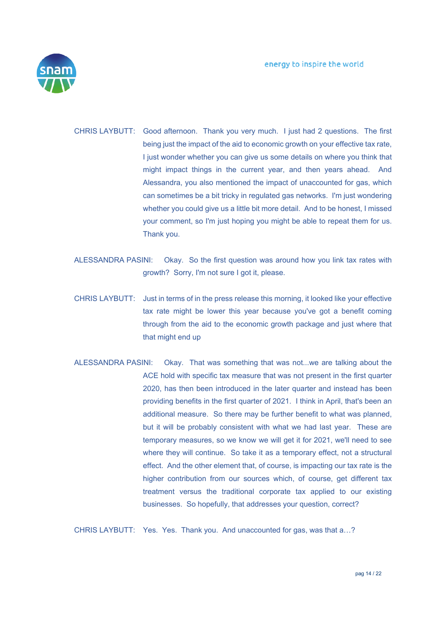

CHRIS LAYBUTT: Good afternoon. Thank you very much. I just had 2 questions. The first being just the impact of the aid to economic growth on your effective tax rate, I just wonder whether you can give us some details on where you think that might impact things in the current year, and then years ahead. And Alessandra, you also mentioned the impact of unaccounted for gas, which can sometimes be a bit tricky in regulated gas networks. I'm just wondering whether you could give us a little bit more detail. And to be honest, I missed your comment, so I'm just hoping you might be able to repeat them for us. Thank you.

- ALESSANDRA PASINI: Okay. So the first question was around how you link tax rates with growth? Sorry, I'm not sure I got it, please.
- CHRIS LAYBUTT: Just in terms of in the press release this morning, it looked like your effective tax rate might be lower this year because you've got a benefit coming through from the aid to the economic growth package and just where that that might end up
- ALESSANDRA PASINI: Okay. That was something that was not...we are talking about the ACE hold with specific tax measure that was not present in the first quarter 2020, has then been introduced in the later quarter and instead has been providing benefits in the first quarter of 2021. I think in April, that's been an additional measure. So there may be further benefit to what was planned, but it will be probably consistent with what we had last year. These are temporary measures, so we know we will get it for 2021, we'll need to see where they will continue. So take it as a temporary effect, not a structural effect. And the other element that, of course, is impacting our tax rate is the higher contribution from our sources which, of course, get different tax treatment versus the traditional corporate tax applied to our existing businesses. So hopefully, that addresses your question, correct?

CHRIS LAYBUTT: Yes. Yes. Thank you. And unaccounted for gas, was that a…?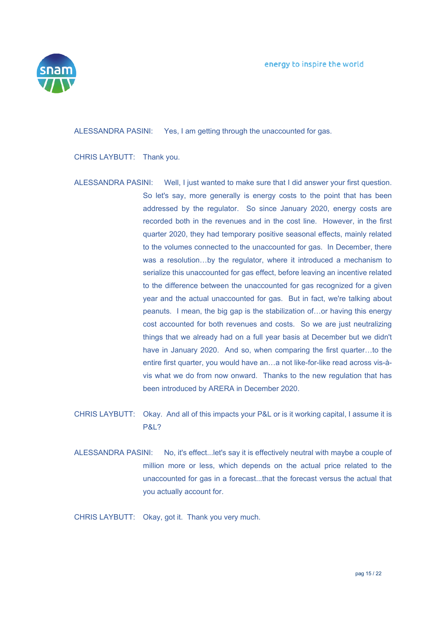

ALESSANDRA PASINI: Yes, I am getting through the unaccounted for gas.

CHRIS LAYBUTT: Thank you.

- ALESSANDRA PASINI: Well, I just wanted to make sure that I did answer your first question. So let's say, more generally is energy costs to the point that has been addressed by the regulator. So since January 2020, energy costs are recorded both in the revenues and in the cost line. However, in the first quarter 2020, they had temporary positive seasonal effects, mainly related to the volumes connected to the unaccounted for gas. In December, there was a resolution…by the regulator, where it introduced a mechanism to serialize this unaccounted for gas effect, before leaving an incentive related to the difference between the unaccounted for gas recognized for a given year and the actual unaccounted for gas. But in fact, we're talking about peanuts. I mean, the big gap is the stabilization of…or having this energy cost accounted for both revenues and costs. So we are just neutralizing things that we already had on a full year basis at December but we didn't have in January 2020. And so, when comparing the first quarter...to the entire first quarter, you would have an…a not like-for-like read across vis-àvis what we do from now onward. Thanks to the new regulation that has been introduced by ARERA in December 2020.
- CHRIS LAYBUTT: Okay. And all of this impacts your P&L or is it working capital, I assume it is P&L?
- ALESSANDRA PASINI: No, it's effect...let's say it is effectively neutral with maybe a couple of million more or less, which depends on the actual price related to the unaccounted for gas in a forecast...that the forecast versus the actual that you actually account for.

CHRIS LAYBUTT: Okay, got it. Thank you very much.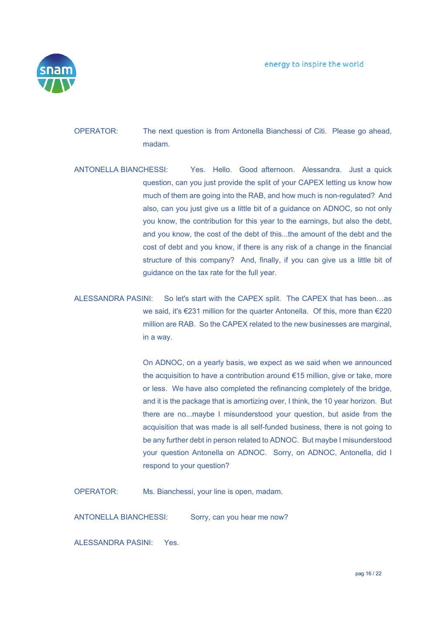

- OPERATOR: The next question is from Antonella Bianchessi of Citi. Please go ahead, madam.
- ANTONELLA BIANCHESSI: Yes. Hello. Good afternoon. Alessandra. Just a quick question, can you just provide the split of your CAPEX letting us know how much of them are going into the RAB, and how much is non-regulated? And also, can you just give us a little bit of a guidance on ADNOC, so not only you know, the contribution for this year to the earnings, but also the debt, and you know, the cost of the debt of this...the amount of the debt and the cost of debt and you know, if there is any risk of a change in the financial structure of this company? And, finally, if you can give us a little bit of guidance on the tax rate for the full year.
- ALESSANDRA PASINI: So let's start with the CAPEX split. The CAPEX that has been…as we said, it's €231 million for the quarter Antonella. Of this, more than €220 million are RAB. So the CAPEX related to the new businesses are marginal, in a way.

 On ADNOC, on a yearly basis, we expect as we said when we announced the acquisition to have a contribution around €15 million, give or take, more or less. We have also completed the refinancing completely of the bridge, and it is the package that is amortizing over, I think, the 10 year horizon. But there are no...maybe I misunderstood your question, but aside from the acquisition that was made is all self-funded business, there is not going to be any further debt in person related to ADNOC. But maybe I misunderstood your question Antonella on ADNOC. Sorry, on ADNOC, Antonella, did I respond to your question?

OPERATOR: Ms. Bianchessi, your line is open, madam.

ANTONELLA BIANCHESSI: Sorry, can you hear me now?

ALESSANDRA PASINI: Yes.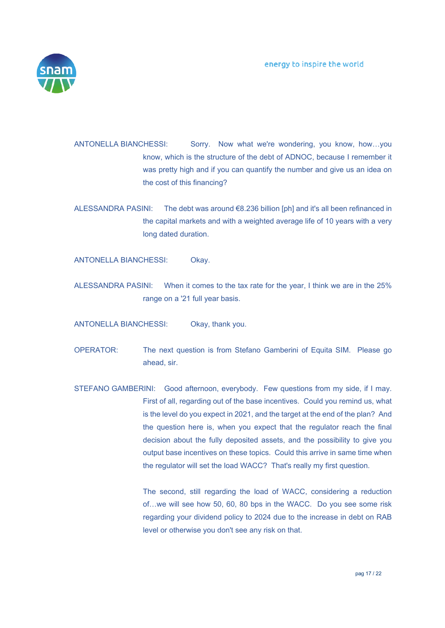

ANTONELLA BIANCHESSI: Sorry. Now what we're wondering, you know, how…you know, which is the structure of the debt of ADNOC, because I remember it was pretty high and if you can quantify the number and give us an idea on the cost of this financing?

ALESSANDRA PASINI: The debt was around €8.236 billion [ph] and it's all been refinanced in the capital markets and with a weighted average life of 10 years with a very long dated duration.

ANTONELLA BIANCHESSI: Okay.

ALESSANDRA PASINI: When it comes to the tax rate for the year, I think we are in the 25% range on a '21 full year basis.

ANTONELLA BIANCHESSI: Okay, thank you.

- OPERATOR: The next question is from Stefano Gamberini of Equita SIM. Please go ahead, sir.
- STEFANO GAMBERINI: Good afternoon, everybody. Few questions from my side, if I may. First of all, regarding out of the base incentives. Could you remind us, what is the level do you expect in 2021, and the target at the end of the plan? And the question here is, when you expect that the regulator reach the final decision about the fully deposited assets, and the possibility to give you output base incentives on these topics. Could this arrive in same time when the regulator will set the load WACC? That's really my first question.

 The second, still regarding the load of WACC, considering a reduction of…we will see how 50, 60, 80 bps in the WACC. Do you see some risk regarding your dividend policy to 2024 due to the increase in debt on RAB level or otherwise you don't see any risk on that.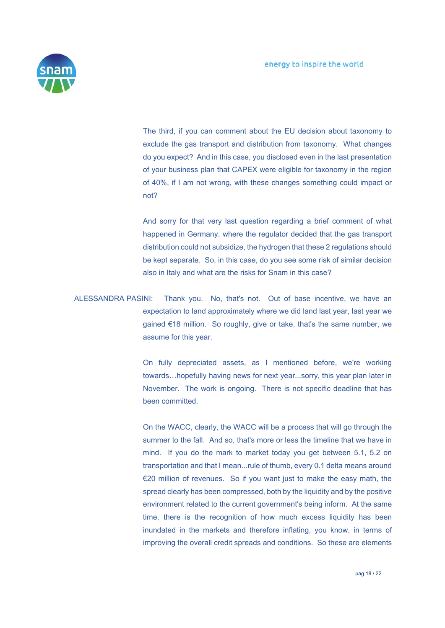

 The third, if you can comment about the EU decision about taxonomy to exclude the gas transport and distribution from taxonomy. What changes do you expect? And in this case, you disclosed even in the last presentation of your business plan that CAPEX were eligible for taxonomy in the region of 40%, if I am not wrong, with these changes something could impact or not?

 And sorry for that very last question regarding a brief comment of what happened in Germany, where the regulator decided that the gas transport distribution could not subsidize, the hydrogen that these 2 regulations should be kept separate. So, in this case, do you see some risk of similar decision also in Italy and what are the risks for Snam in this case?

ALESSANDRA PASINI: Thank you. No, that's not. Out of base incentive, we have an expectation to land approximately where we did land last year, last year we gained €18 million. So roughly, give or take, that's the same number, we assume for this year.

> On fully depreciated assets, as I mentioned before, we're working towards…hopefully having news for next year...sorry, this year plan later in November. The work is ongoing. There is not specific deadline that has been committed.

> On the WACC, clearly, the WACC will be a process that will go through the summer to the fall. And so, that's more or less the timeline that we have in mind. If you do the mark to market today you get between 5.1, 5.2 on transportation and that I mean...rule of thumb, every 0.1 delta means around €20 million of revenues. So if you want just to make the easy math, the spread clearly has been compressed, both by the liquidity and by the positive environment related to the current government's being inform. At the same time, there is the recognition of how much excess liquidity has been inundated in the markets and therefore inflating, you know, in terms of improving the overall credit spreads and conditions. So these are elements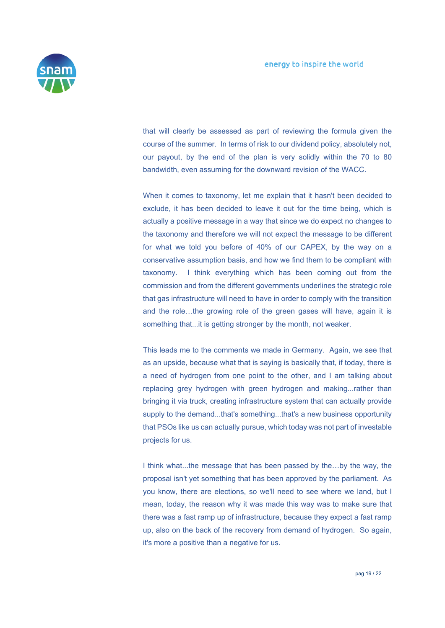

that will clearly be assessed as part of reviewing the formula given the course of the summer. In terms of risk to our dividend policy, absolutely not, our payout, by the end of the plan is very solidly within the 70 to 80 bandwidth, even assuming for the downward revision of the WACC.

 When it comes to taxonomy, let me explain that it hasn't been decided to exclude, it has been decided to leave it out for the time being, which is actually a positive message in a way that since we do expect no changes to the taxonomy and therefore we will not expect the message to be different for what we told you before of 40% of our CAPEX, by the way on a conservative assumption basis, and how we find them to be compliant with taxonomy. I think everything which has been coming out from the commission and from the different governments underlines the strategic role that gas infrastructure will need to have in order to comply with the transition and the role…the growing role of the green gases will have, again it is something that...it is getting stronger by the month, not weaker.

 This leads me to the comments we made in Germany. Again, we see that as an upside, because what that is saying is basically that, if today, there is a need of hydrogen from one point to the other, and I am talking about replacing grey hydrogen with green hydrogen and making...rather than bringing it via truck, creating infrastructure system that can actually provide supply to the demand...that's something...that's a new business opportunity that PSOs like us can actually pursue, which today was not part of investable projects for us.

 I think what...the message that has been passed by the…by the way, the proposal isn't yet something that has been approved by the parliament. As you know, there are elections, so we'll need to see where we land, but I mean, today, the reason why it was made this way was to make sure that there was a fast ramp up of infrastructure, because they expect a fast ramp up, also on the back of the recovery from demand of hydrogen. So again, it's more a positive than a negative for us.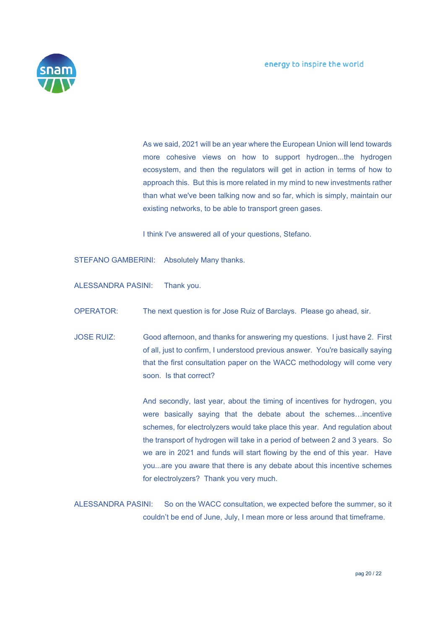

 As we said, 2021 will be an year where the European Union will lend towards more cohesive views on how to support hydrogen...the hydrogen ecosystem, and then the regulators will get in action in terms of how to approach this. But this is more related in my mind to new investments rather than what we've been talking now and so far, which is simply, maintain our existing networks, to be able to transport green gases.

I think I've answered all of your questions, Stefano.

STEFANO GAMBERINI: Absolutely Many thanks.

ALESSANDRA PASINI: Thank you.

OPERATOR: The next question is for Jose Ruiz of Barclays. Please go ahead, sir.

JOSE RUIZ: Good afternoon, and thanks for answering my questions. I just have 2. First of all, just to confirm, I understood previous answer. You're basically saying that the first consultation paper on the WACC methodology will come very soon. Is that correct?

> And secondly, last year, about the timing of incentives for hydrogen, you were basically saying that the debate about the schemes…incentive schemes, for electrolyzers would take place this year. And regulation about the transport of hydrogen will take in a period of between 2 and 3 years. So we are in 2021 and funds will start flowing by the end of this year. Have you...are you aware that there is any debate about this incentive schemes for electrolyzers? Thank you very much.

ALESSANDRA PASINI: So on the WACC consultation, we expected before the summer, so it couldn't be end of June, July, I mean more or less around that timeframe.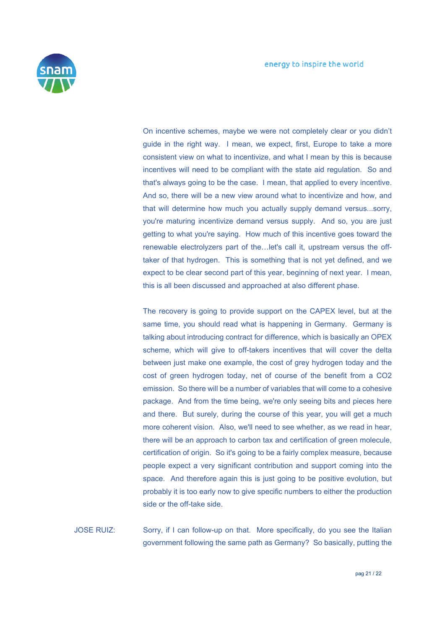

 On incentive schemes, maybe we were not completely clear or you didn't guide in the right way. I mean, we expect, first, Europe to take a more consistent view on what to incentivize, and what I mean by this is because incentives will need to be compliant with the state aid regulation. So and that's always going to be the case. I mean, that applied to every incentive. And so, there will be a new view around what to incentivize and how, and that will determine how much you actually supply demand versus...sorry, you're maturing incentivize demand versus supply. And so, you are just getting to what you're saying. How much of this incentive goes toward the renewable electrolyzers part of the…let's call it, upstream versus the offtaker of that hydrogen. This is something that is not yet defined, and we expect to be clear second part of this year, beginning of next year. I mean, this is all been discussed and approached at also different phase.

 The recovery is going to provide support on the CAPEX level, but at the same time, you should read what is happening in Germany. Germany is talking about introducing contract for difference, which is basically an OPEX scheme, which will give to off-takers incentives that will cover the delta between just make one example, the cost of grey hydrogen today and the cost of green hydrogen today, net of course of the benefit from a CO2 emission. So there will be a number of variables that will come to a cohesive package. And from the time being, we're only seeing bits and pieces here and there. But surely, during the course of this year, you will get a much more coherent vision. Also, we'll need to see whether, as we read in hear, there will be an approach to carbon tax and certification of green molecule, certification of origin. So it's going to be a fairly complex measure, because people expect a very significant contribution and support coming into the space. And therefore again this is just going to be positive evolution, but probably it is too early now to give specific numbers to either the production side or the off-take side.

JOSE RUIZ: Sorry, if I can follow-up on that. More specifically, do you see the Italian government following the same path as Germany? So basically, putting the